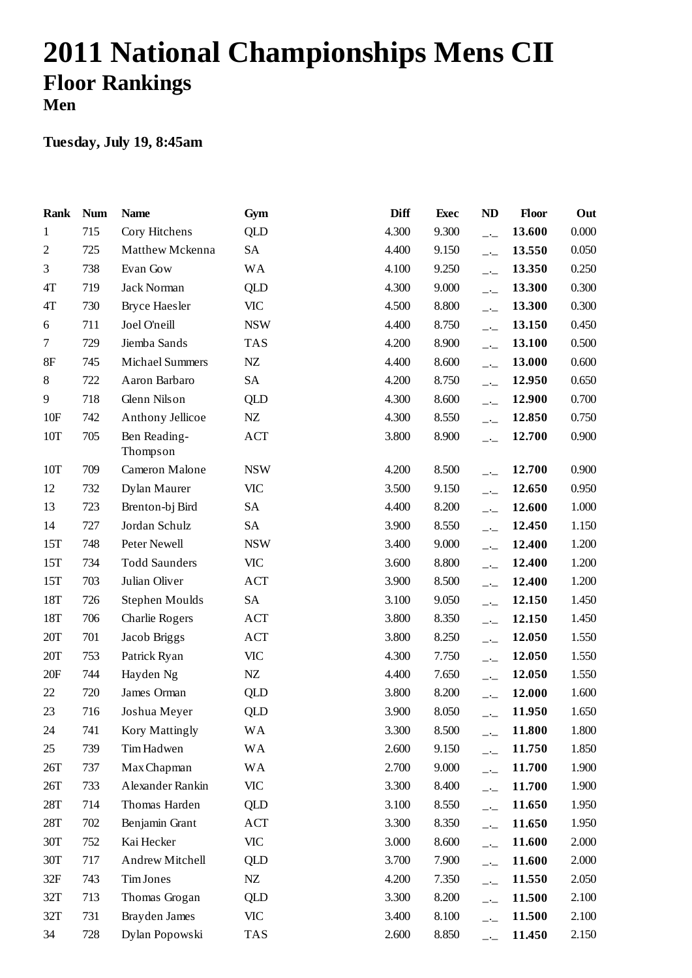## **2011 National Championships Mens CII Floor Rankings Men**

| Rank           | <b>Num</b> | <b>Name</b>              | Gym        | Diff  | <b>Exec</b> | <b>ND</b>                | <b>Floor</b> | Out   |
|----------------|------------|--------------------------|------------|-------|-------------|--------------------------|--------------|-------|
| $\mathbf{1}$   | 715        | Cory Hitchens            | <b>QLD</b> | 4.300 | 9.300       | $-1$                     | 13.600       | 0.000 |
| $\mathfrak{2}$ | 725        | Matthew Mckenna          | <b>SA</b>  | 4.400 | 9.150       | $-1$                     | 13.550       | 0.050 |
| 3              | 738        | Evan Gow                 | <b>WA</b>  | 4.100 | 9.250       | $\overline{\phantom{a}}$ | 13.350       | 0.250 |
| 4T             | 719        | Jack Norman              | QLD        | 4.300 | 9.000       | $-1$                     | 13.300       | 0.300 |
| 4T             | 730        | <b>Bryce Haesler</b>     | VIC        | 4.500 | 8.800       | $\overline{\phantom{a}}$ | 13.300       | 0.300 |
| 6              | 711        | Joel O'neill             | <b>NSW</b> | 4.400 | 8.750       | $-1$                     | 13.150       | 0.450 |
| $\tau$         | 729        | Jiemba Sands             | <b>TAS</b> | 4.200 | 8.900       | $-1$                     | 13.100       | 0.500 |
| 8F             | 745        | <b>Michael Summers</b>   | $N\!Z$     | 4.400 | 8.600       | $-1$                     | 13.000       | 0.600 |
| 8              | 722        | Aaron Barbaro            | SA         | 4.200 | 8.750       | $\overline{\phantom{a}}$ | 12.950       | 0.650 |
| 9              | 718        | Glenn Nilson             | QLD        | 4.300 | 8.600       | $-1$                     | 12.900       | 0.700 |
| 10F            | 742        | Anthony Jellicoe         | NZ         | 4.300 | 8.550       | $\overline{\phantom{a}}$ | 12.850       | 0.750 |
| 10T            | 705        | Ben Reading-<br>Thompson | ACT        | 3.800 | 8.900       | $-1$                     | 12.700       | 0.900 |
| 10T            | 709        | Cameron Malone           | <b>NSW</b> | 4.200 | 8.500       | $-1$                     | 12.700       | 0.900 |
| 12             | 732        | Dylan Maurer             | <b>VIC</b> | 3.500 | 9.150       | $-$                      | 12.650       | 0.950 |
| 13             | 723        | Brenton-bj Bird          | SA         | 4.400 | 8.200       | $\overline{\phantom{a}}$ | 12.600       | 1.000 |
| 14             | 727        | Jordan Schulz            | SA         | 3.900 | 8.550       | $-1$                     | 12.450       | 1.150 |
| 15T            | 748        | Peter Newell             | <b>NSW</b> | 3.400 | 9.000       | $ -$                     | 12.400       | 1.200 |
| 15T            | 734        | <b>Todd Saunders</b>     | <b>VIC</b> | 3.600 | 8.800       | $\overline{\phantom{a}}$ | 12.400       | 1.200 |
| 15T            | 703        | Julian Oliver            | <b>ACT</b> | 3.900 | 8.500       | $-1$                     | 12.400       | 1.200 |
| 18T            | 726        | Stephen Moulds           | SA         | 3.100 | 9.050       | $-$                      | 12.150       | 1.450 |
| 18T            | 706        | Charlie Rogers           | <b>ACT</b> | 3.800 | 8.350       | $-1$                     | 12.150       | 1.450 |
| 20T            | 701        | Jacob Briggs             | <b>ACT</b> | 3.800 | 8.250       | $-1$                     | 12.050       | 1.550 |
| 20T            | 753        | Patrick Ryan             | <b>VIC</b> | 4.300 | 7.750       | $ -$                     | 12.050       | 1.550 |
| 20F            | 744        | Hayden Ng                | NZ         | 4.400 | 7.650       | $-1$                     | 12.050       | 1.550 |
| 22             | 720        | James Orman              | QLD        | 3.800 | 8.200       | $-1$                     | 12.000       | 1.600 |
| 23             | 716        | Joshua Meyer             | <b>QLD</b> | 3.900 | 8.050       | $-1$                     | 11.950       | 1.650 |
| $24\,$         | 741        | Kory Mattingly           | <b>WA</b>  | 3.300 | 8.500       | $ -$                     | 11.800       | 1.800 |
| 25             | 739        | Tim Hadwen               | WA         | 2.600 | 9.150       | $-$ -                    | 11.750       | 1.850 |
| 26T            | 737        | Max Chapman              | <b>WA</b>  | 2.700 | 9.000       | $ -$                     | 11.700       | 1.900 |
| 26T            | 733        | Alexander Rankin         | VIC        | 3.300 | 8.400       | $-1$                     | 11.700       | 1.900 |
| 28T            | 714        | Thomas Harden            | <b>QLD</b> | 3.100 | 8.550       | $-$                      | 11.650       | 1.950 |
| 28T            | 702        | Benjamin Grant           | ACT        | 3.300 | 8.350       | $-1$                     | 11.650       | 1.950 |
| 30T            | 752        | Kai Hecker               | VIC        | 3.000 | 8.600       | $\overline{\phantom{a}}$ | 11.600       | 2.000 |
| 30T            | 717        | Andrew Mitchell          | <b>QLD</b> | 3.700 | 7.900       | $ -$                     | 11.600       | 2.000 |
| 32F            | 743        | Tim Jones                | NZ         | 4.200 | 7.350       | $-1$                     | 11.550       | 2.050 |
| 32T            | 713        | Thomas Grogan            | <b>QLD</b> | 3.300 | 8.200       | $-1$                     | 11.500       | 2.100 |
| 32T            | 731        | Brayden James            | VIC        | 3.400 | 8.100       | $-$                      | 11.500       | 2.100 |
| 34             | 728        | Dylan Popowski           | <b>TAS</b> | 2.600 | 8.850       | $-1$                     | 11.450       | 2.150 |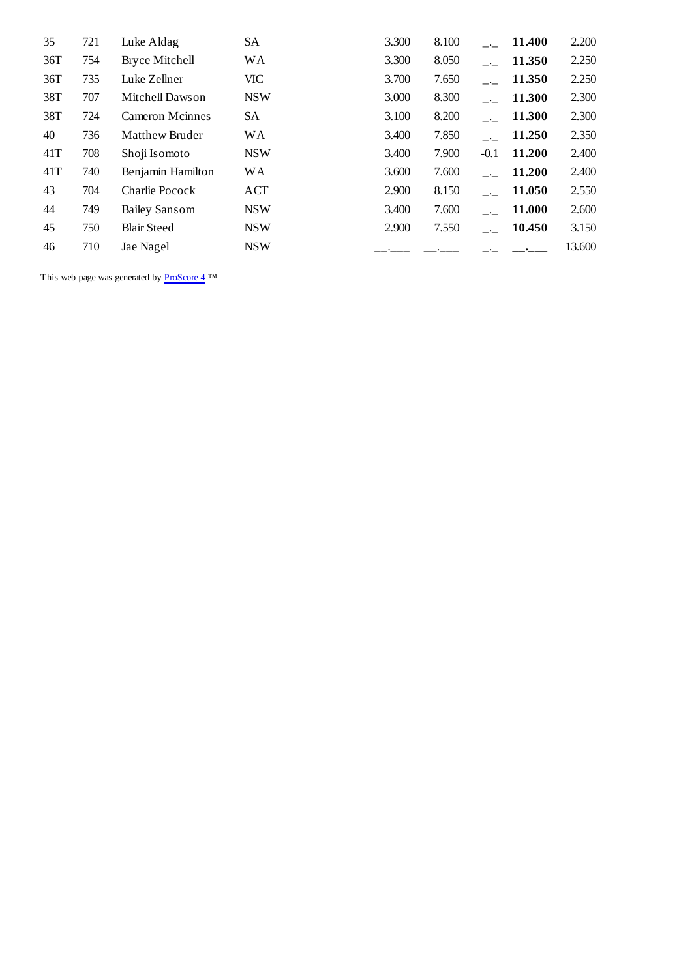| 35  | 721 | Luke Aldag             | SА         | 3.300 | 8.100 |               | 11.400 | 2.200  |
|-----|-----|------------------------|------------|-------|-------|---------------|--------|--------|
| 36T | 754 | Bryce Mitchell         | <b>WA</b>  | 3.300 | 8.050 |               | 11.350 | 2.250  |
| 36T | 735 | Luke Zellner           | <b>VIC</b> | 3.700 | 7.650 | $\sim$        | 11.350 | 2.250  |
| 38T | 707 | Mitchell Dawson        | <b>NSW</b> | 3.000 | 8.300 | $\sim$ $\sim$ | 11.300 | 2.300  |
| 38T | 724 | <b>Cameron Mcinnes</b> | SA         | 3.100 | 8.200 |               | 11.300 | 2.300  |
| 40  | 736 | Matthew Bruder         | <b>WA</b>  | 3.400 | 7.850 |               | 11.250 | 2.350  |
| 41T | 708 | Shoji Isomoto          | <b>NSW</b> | 3.400 | 7.900 | $-0.1$        | 11.200 | 2.400  |
| 41T | 740 | Benjamin Hamilton      | <b>WA</b>  | 3.600 | 7.600 |               | 11.200 | 2.400  |
| 43  | 704 | Charlie Pocock         | ACT        | 2.900 | 8.150 |               | 11.050 | 2.550  |
| 44  | 749 | <b>Bailey Sansom</b>   | <b>NSW</b> | 3.400 | 7.600 |               | 11.000 | 2.600  |
| 45  | 750 | <b>Blair Steed</b>     | <b>NSW</b> | 2.900 | 7.550 |               | 10.450 | 3.150  |
| 46  | 710 | Jae Nagel              | <b>NSW</b> |       |       |               |        | 13.600 |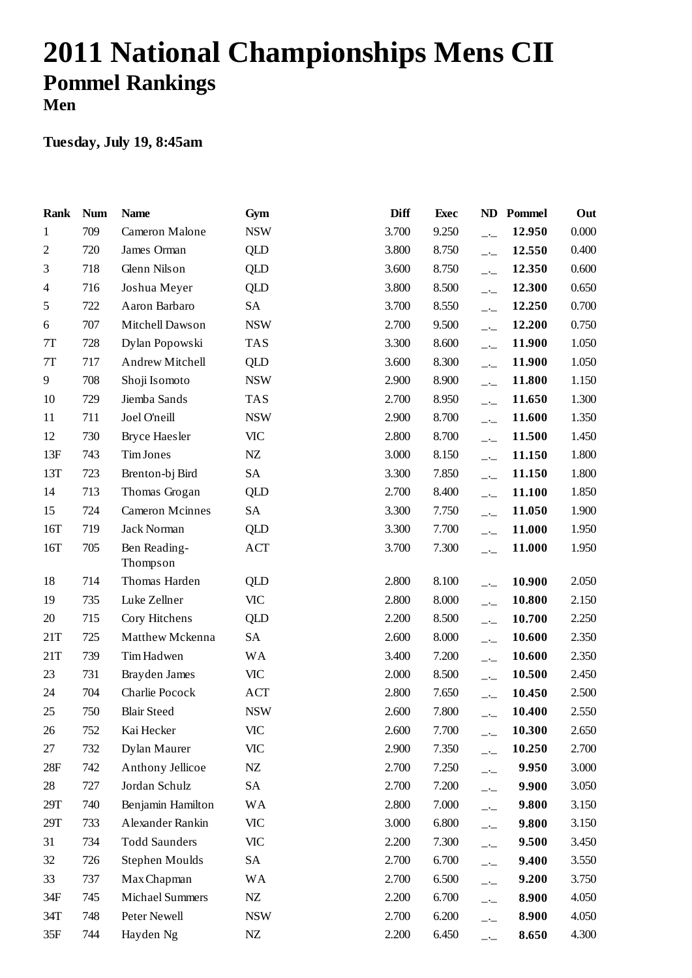# **2011 National Championships Mens CII Pommel Rankings Men**

| Rank           | <b>Num</b> | <b>Name</b>              | Gym        | <b>Diff</b> | <b>Exec</b> | ND                       | Pommel | Out   |
|----------------|------------|--------------------------|------------|-------------|-------------|--------------------------|--------|-------|
| 1              | 709        | Cameron Malone           | <b>NSW</b> | 3.700       | 9.250       | $-$                      | 12.950 | 0.000 |
| $\mathfrak{2}$ | 720        | James Orman              | <b>QLD</b> | 3.800       | 8.750       | $-$                      | 12.550 | 0.400 |
| 3              | 718        | Glenn Nilson             | QLD        | 3.600       | 8.750       | $\overline{\phantom{a}}$ | 12.350 | 0.600 |
| 4              | 716        | Joshua Meyer             | QLD        | 3.800       | 8.500       | $\overline{\phantom{a}}$ | 12.300 | 0.650 |
| 5              | 722        | Aaron Barbaro            | SA         | 3.700       | 8.550       | $-$ - $-$                | 12.250 | 0.700 |
| 6              | 707        | Mitchell Dawson          | <b>NSW</b> | 2.700       | 9.500       | $\overline{\phantom{a}}$ | 12.200 | 0.750 |
| 7T             | 728        | Dylan Popowski           | <b>TAS</b> | 3.300       | 8.600       | $ -$                     | 11.900 | 1.050 |
| $7\mathrm{T}$  | 717        | Andrew Mitchell          | QLD        | 3.600       | 8.300       | $-$                      | 11.900 | 1.050 |
| 9              | 708        | Shoji Isomoto            | <b>NSW</b> | 2.900       | 8.900       | $\overline{\phantom{a}}$ | 11.800 | 1.150 |
| 10             | 729        | Jiemba Sands             | <b>TAS</b> | 2.700       | 8.950       | $ -$                     | 11.650 | 1.300 |
| 11             | 711        | Joel O'neill             | <b>NSW</b> | 2.900       | 8.700       | $-$                      | 11.600 | 1.350 |
| 12             | 730        | <b>Bryce Haesler</b>     | <b>VIC</b> | 2.800       | 8.700       | $\overline{\phantom{a}}$ | 11.500 | 1.450 |
| 13F            | 743        | Tim Jones                | NZ         | 3.000       | 8.150       | $ -$                     | 11.150 | 1.800 |
| 13T            | 723        | Brenton-bj Bird          | SA         | 3.300       | 7.850       | $-$ - $-$                | 11.150 | 1.800 |
| 14             | 713        | Thomas Grogan            | QLD        | 2.700       | 8.400       | $\overline{\phantom{a}}$ | 11.100 | 1.850 |
| 15             | 724        | <b>Cameron Mcinnes</b>   | <b>SA</b>  | 3.300       | 7.750       | $ -$                     | 11.050 | 1.900 |
| 16T            | 719        | Jack Norman              | QLD        | 3.300       | 7.700       | $-$                      | 11.000 | 1.950 |
| 16T            | 705        | Ben Reading-<br>Thompson | ACT        | 3.700       | 7.300       | $\overline{\phantom{a}}$ | 11.000 | 1.950 |
| 18             | 714        | Thomas Harden            | QLD        | 2.800       | 8.100       | $-$                      | 10.900 | 2.050 |
| 19             | 735        | Luke Zellner             | <b>VIC</b> | 2.800       | 8.000       | $-$                      | 10.800 | 2.150 |
| 20             | 715        | Cory Hitchens            | QLD        | 2.200       | 8.500       | $ -$                     | 10.700 | 2.250 |
| 21T            | 725        | Matthew Mckenna          | SA         | 2.600       | 8.000       | $-$ - $-$                | 10.600 | 2.350 |
| 21T            | 739        | Tim Hadwen               | <b>WA</b>  | 3.400       | 7.200       | $-$                      | 10.600 | 2.350 |
| 23             | 731        | Brayden James            | VIC        | 2.000       | 8.500       | $ -$                     | 10.500 | 2.450 |
| 24             | 704        | Charlie Pocock           | <b>ACT</b> | 2.800       | 7.650       | $\overline{\phantom{a}}$ | 10.450 | 2.500 |
| 25             | 750        | <b>Blair Steed</b>       | <b>NSW</b> | 2.600       | 7.800       | $ -$                     | 10.400 | 2.550 |
| 26             | 752        | Kai Hecker               | <b>VIC</b> | 2.600       | 7.700       | $-$                      | 10.300 | 2.650 |
| 27             | 732        | Dylan Maurer             | <b>VIC</b> | 2.900       | 7.350       | $ -$                     | 10.250 | 2.700 |
| 28F            | 742        | Anthony Jellicoe         | NZ         | 2.700       | 7.250       | $-1$                     | 9.950  | 3.000 |
| 28             | 727        | Jordan Schulz            | SA         | 2.700       | 7.200       | $ -$                     | 9.900  | 3.050 |
| 29T            | 740        | Benjamin Hamilton        | <b>WA</b>  | 2.800       | 7.000       | $-$                      | 9.800  | 3.150 |
| 29T            | 733        | Alexander Rankin         | <b>VIC</b> | 3.000       | 6.800       | $-$                      | 9.800  | 3.150 |
| 31             | 734        | <b>Todd Saunders</b>     | <b>VIC</b> | 2.200       | 7.300       | $ -$                     | 9.500  | 3.450 |
| 32             | 726        | Stephen Moulds           | SA         | 2.700       | 6.700       | $ -$                     | 9.400  | 3.550 |
| 33             | 737        | Max Chapman              | <b>WA</b>  | 2.700       | 6.500       | $-1$                     | 9.200  | 3.750 |
| 34F            | 745        | <b>Michael Summers</b>   | ${\rm NZ}$ | 2.200       | 6.700       | $ -$                     | 8.900  | 4.050 |
| 34T            | 748        | Peter Newell             | <b>NSW</b> | 2.700       | 6.200       | $ -$                     | 8.900  | 4.050 |
| 35F            | 744        | Hayden Ng                | ${\rm NZ}$ | 2.200       | 6.450       | $ -$                     | 8.650  | 4.300 |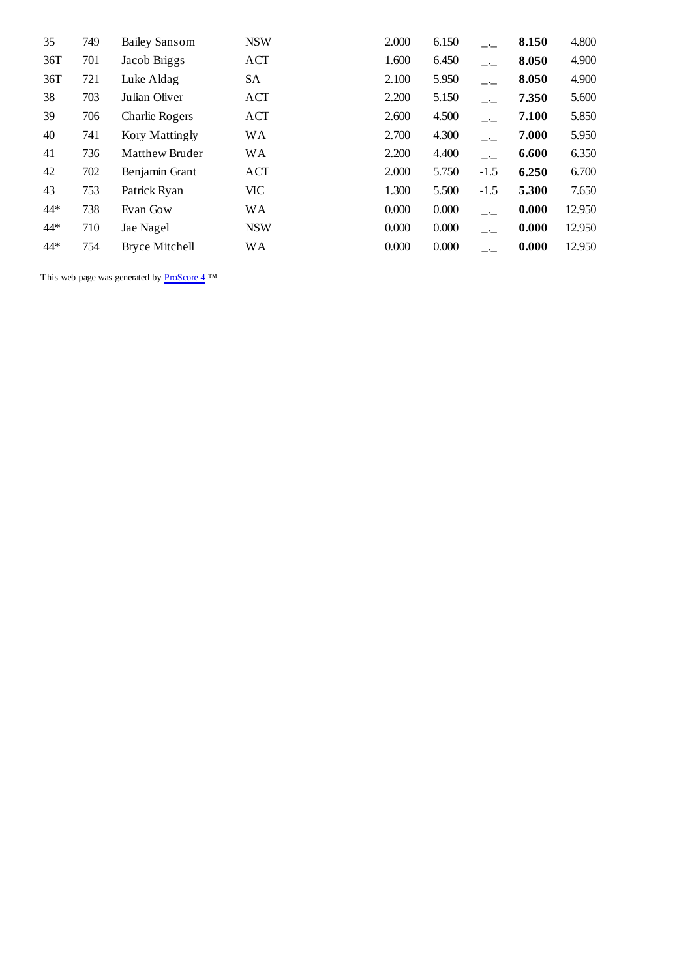| 35  | 749 | <b>Bailey Sansom</b>  | <b>NSW</b> | 2.000 | 6.150 | $ -$   | 8.150 | 4.800  |
|-----|-----|-----------------------|------------|-------|-------|--------|-------|--------|
| 36T | 701 | Jacob Briggs          | ACT        | 1.600 | 6.450 | $-$    | 8.050 | 4.900  |
| 36T | 721 | Luke Aldag            | SA         | 2.100 | 5.950 | $-$    | 8.050 | 4.900  |
| 38  | 703 | Julian Oliver         | ACT        | 2.200 | 5.150 | $-$    | 7.350 | 5.600  |
| 39  | 706 | Charlie Rogers        | ACT        | 2.600 | 4.500 | $-$    | 7.100 | 5.850  |
| 40  | 741 | Kory Mattingly        | WA         | 2.700 | 4.300 | $-$    | 7.000 | 5.950  |
| 41  | 736 | Matthew Bruder        | WA         | 2.200 | 4.400 | $-$    | 6.600 | 6.350  |
| 42  | 702 | Benjamin Grant        | <b>ACT</b> | 2.000 | 5.750 | $-1.5$ | 6.250 | 6.700  |
| 43  | 753 | Patrick Ryan          | <b>VIC</b> | 1.300 | 5.500 | $-1.5$ | 5.300 | 7.650  |
| 44* | 738 | Evan Gow              | WA         | 0.000 | 0.000 | $-$    | 0.000 | 12.950 |
| 44* | 710 | Jae Nagel             | <b>NSW</b> | 0.000 | 0.000 | $-$    | 0.000 | 12.950 |
| 44* | 754 | <b>Bryce Mitchell</b> | <b>WA</b>  | 0.000 | 0.000 | $ -$   | 0.000 | 12.950 |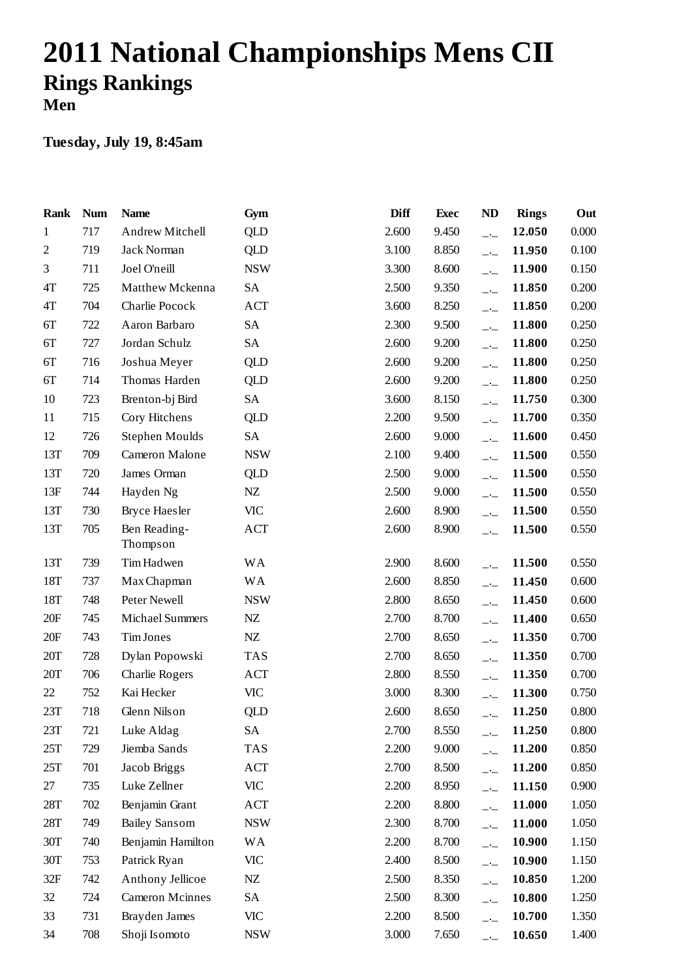# **2011 National Championships Mens CII Rings Rankings Men**

| <b>Rank</b>    | <b>Num</b> | <b>Name</b>              | Gym        | <b>Diff</b> | <b>Exec</b> | <b>ND</b>                | <b>Rings</b> | Out   |
|----------------|------------|--------------------------|------------|-------------|-------------|--------------------------|--------------|-------|
| $\mathbf{1}$   | 717        | Andrew Mitchell          | <b>QLD</b> | 2.600       | 9.450       | $-1$                     | 12.050       | 0.000 |
| $\overline{2}$ | 719        | Jack Norman              | QLD        | 3.100       | 8.850       | $-1$                     | 11.950       | 0.100 |
| 3              | 711        | Joel O'neill             | <b>NSW</b> | 3.300       | 8.600       | $\overline{\phantom{a}}$ | 11.900       | 0.150 |
| 4T             | 725        | Matthew Mckenna          | SA         | 2.500       | 9.350       | $-1$                     | 11.850       | 0.200 |
| 4T             | 704        | Charlie Pocock           | <b>ACT</b> | 3.600       | 8.250       | $-$                      | 11.850       | 0.200 |
| 6T             | 722        | Aaron Barbaro            | <b>SA</b>  | 2.300       | 9.500       | $-1$                     | 11.800       | 0.250 |
| 6T             | 727        | Jordan Schulz            | <b>SA</b>  | 2.600       | 9.200       | $\overline{\phantom{a}}$ | 11.800       | 0.250 |
| 6T             | 716        | Joshua Meyer             | <b>QLD</b> | 2.600       | 9.200       | $-1$                     | 11.800       | 0.250 |
| 6T             | 714        | Thomas Harden            | QLD        | 2.600       | 9.200       | $\overline{\phantom{a}}$ | 11.800       | 0.250 |
| 10             | 723        | Brenton-bj Bird          | SA         | 3.600       | 8.150       | $-1$                     | 11.750       | 0.300 |
| 11             | 715        | Cory Hitchens            | QLD        | 2.200       | 9.500       | $-$                      | 11.700       | 0.350 |
| 12             | 726        | Stephen Moulds           | SA         | 2.600       | 9.000       | $-1$                     | 11.600       | 0.450 |
| 13T            | 709        | Cameron Malone           | <b>NSW</b> | 2.100       | 9.400       | $-1$                     | 11.500       | 0.550 |
| 13T            | 720        | James Orman              | <b>QLD</b> | 2.500       | 9.000       | $-1$                     | 11.500       | 0.550 |
| 13F            | 744        | Hayden Ng                | $N\!Z$     | 2.500       | 9.000       | $-1$                     | 11.500       | 0.550 |
| 13T            | 730        | <b>Bryce Haesler</b>     | <b>VIC</b> | 2.600       | 8.900       | $\overline{\phantom{a}}$ | 11.500       | 0.550 |
| 13T            | 705        | Ben Reading-<br>Thompson | <b>ACT</b> | 2.600       | 8.900       | $-$                      | 11.500       | 0.550 |
| 13T            | 739        | Tim Hadwen               | <b>WA</b>  | 2.900       | 8.600       | $-1$                     | 11.500       | 0.550 |
| 18T            | 737        | Max Chapman              | <b>WA</b>  | 2.600       | 8.850       | $-1$                     | 11.450       | 0.600 |
| 18T            | 748        | Peter Newell             | <b>NSW</b> | 2.800       | 8.650       | $-$                      | 11.450       | 0.600 |
| 20F            | 745        | <b>Michael Summers</b>   | NZ         | 2.700       | 8.700       | $\overline{\phantom{a}}$ | 11.400       | 0.650 |
| 20F            | 743        | Tim Jones                | NZ         | 2.700       | 8.650       | $-1$                     | 11.350       | 0.700 |
| 20T            | 728        | Dylan Popowski           | <b>TAS</b> | 2.700       | 8.650       | $-1$                     | 11.350       | 0.700 |
| 20T            | 706        | Charlie Rogers           | <b>ACT</b> | 2.800       | 8.550       | $\overline{\phantom{a}}$ | 11.350       | 0.700 |
| 22             | 752        | Kai Hecker               | <b>VIC</b> | 3.000       | 8.300       | $-1$                     | 11.300       | 0.750 |
| 23T            | 718        | Glenn Nilson             | QLD        | 2.600       | 8.650       | $-1$                     | 11.250       | 0.800 |
| 23T            | 721        | Luke Aldag               | SA         | 2.700       | 8.550       | $\overline{\phantom{a}}$ | 11.250       | 0.800 |
| 25T            | 729        | Jiemba Sands             | <b>TAS</b> | 2.200       | 9.000       | $-$ -                    | 11.200       | 0.850 |
| 25T            | 701        | Jacob Briggs             | ACT        | 2.700       | 8.500       | $ -$                     | 11.200       | 0.850 |
| 27             | 735        | Luke Zellner             | VIC        | 2.200       | 8.950       | $-1$                     | 11.150       | 0.900 |
| 28T            | 702        | Benjamin Grant           | ACT        | 2.200       | 8.800       | $-$ -                    | 11.000       | 1.050 |
| 28T            | 749        | <b>Bailey Sansom</b>     | <b>NSW</b> | 2.300       | 8.700       | $ -$                     | 11.000       | 1.050 |
| 30T            | 740        | Benjamin Hamilton        | <b>WA</b>  | 2.200       | 8.700       | $-1$                     | 10.900       | 1.150 |
| 30T            | 753        | Patrick Ryan             | <b>VIC</b> | 2.400       | 8.500       | $-$ -                    | 10.900       | 1.150 |
| 32F            | 742        | Anthony Jellicoe         | NZ         | 2.500       | 8.350       | $ -$                     | 10.850       | 1.200 |
| 32             | 724        | <b>Cameron Mcinnes</b>   | <b>SA</b>  | 2.500       | 8.300       | $\overline{\phantom{a}}$ | 10.800       | 1.250 |
| 33             | 731        | Brayden James            | <b>VIC</b> | 2.200       | 8.500       | $-$ -                    | 10.700       | 1.350 |
| 34             | 708        | Shoji Isomoto            | <b>NSW</b> | 3.000       | 7.650       | $-$                      | 10.650       | 1.400 |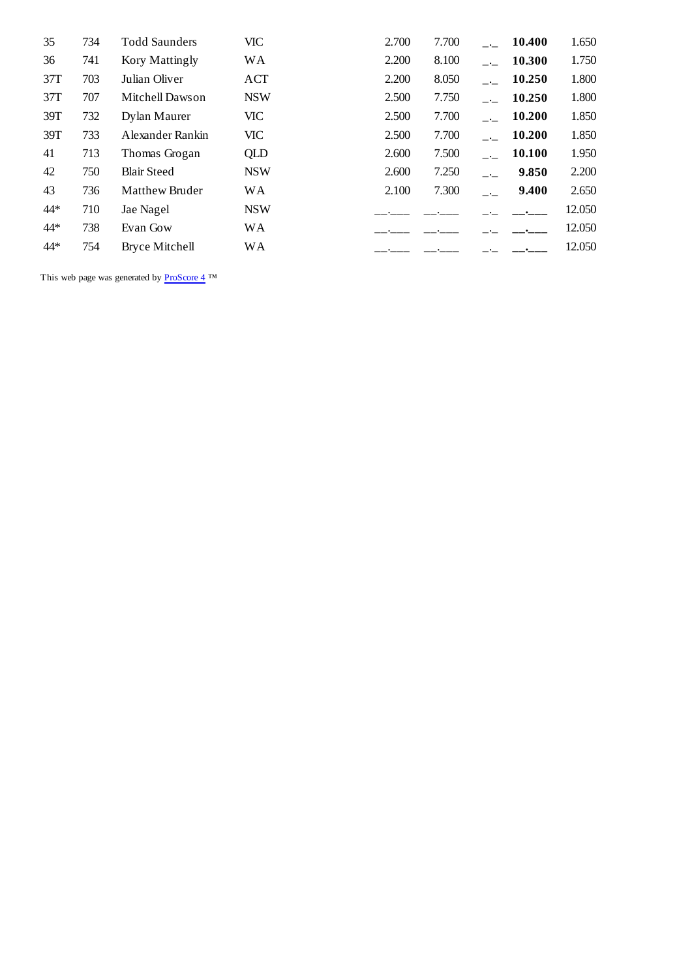| 734 | <b>Todd Saunders</b>  | <b>VIC</b> | 2.700 | 7.700 | $\sim 10^{-11}$          | 10.400 | 1.650  |
|-----|-----------------------|------------|-------|-------|--------------------------|--------|--------|
| 741 | Kory Mattingly        | <b>WA</b>  | 2.200 | 8.100 |                          | 10.300 | 1.750  |
| 703 | Julian Oliver         | ACT        | 2.200 | 8.050 | $\sim$ $\sim$            | 10.250 | 1.800  |
| 707 | Mitchell Dawson       | <b>NSW</b> | 2.500 | 7.750 | $\sim 10^{-1}$           | 10.250 | 1.800  |
| 732 | Dylan Maurer          | VIC.       | 2.500 | 7.700 | $\sim 10^{-1}$           | 10.200 | 1.850  |
| 733 | Alexander Rankin      | <b>VIC</b> | 2.500 | 7.700 | $\sim$ $\sim$            | 10.200 | 1.850  |
| 713 | Thomas Grogan         | <b>QLD</b> | 2.600 | 7.500 | $\sim 10^{-1}$           | 10.100 | 1.950  |
| 750 | <b>Blair Steed</b>    | <b>NSW</b> | 2.600 | 7.250 | $\overline{\phantom{a}}$ | 9.850  | 2.200  |
| 736 | <b>Matthew Bruder</b> | <b>WA</b>  | 2.100 | 7.300 |                          | 9.400  | 2.650  |
| 710 | Jae Nagel             | <b>NSW</b> |       |       |                          |        | 12.050 |
| 738 | Evan Gow              | <b>WA</b>  |       |       |                          |        | 12.050 |
| 754 | <b>Bryce Mitchell</b> | <b>WA</b>  |       |       |                          |        | 12.050 |
|     |                       |            |       |       |                          |        |        |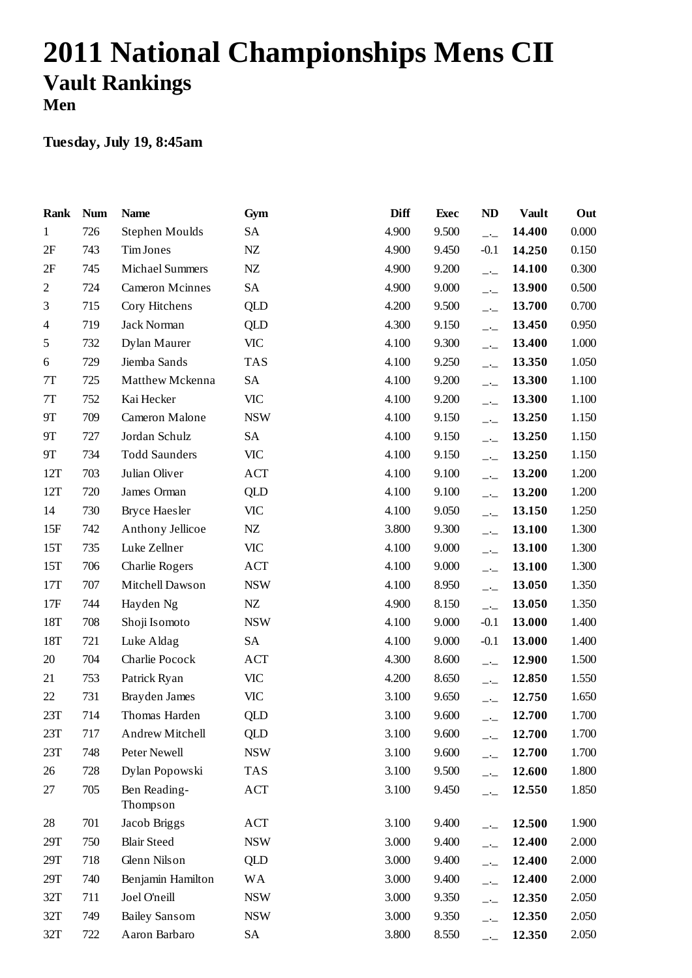## **2011 National Championships Mens CII Vault Rankings Men**

| <b>Rank</b>    | <b>Num</b> | <b>Name</b>              | Gym        | <b>Diff</b> | <b>Exec</b> | <b>ND</b>                | <b>Vault</b> | Out   |
|----------------|------------|--------------------------|------------|-------------|-------------|--------------------------|--------------|-------|
| $\mathbf{1}$   | 726        | <b>Stephen Moulds</b>    | SA         | 4.900       | 9.500       | $-$                      | 14.400       | 0.000 |
| 2F             | 743        | Tim Jones                | ${\rm NZ}$ | 4.900       | 9.450       | $-0.1$                   | 14.250       | 0.150 |
| 2F             | 745        | <b>Michael Summers</b>   | NZ         | 4.900       | 9.200       | $-1$                     | 14.100       | 0.300 |
| $\overline{c}$ | 724        | <b>Cameron Mcinnes</b>   | SA         | 4.900       | 9.000       | $-$                      | 13.900       | 0.500 |
| 3              | 715        | Cory Hitchens            | <b>QLD</b> | 4.200       | 9.500       | $-$                      | 13.700       | 0.700 |
| 4              | 719        | Jack Norman              | QLD        | 4.300       | 9.150       | $\overline{\phantom{a}}$ | 13.450       | 0.950 |
| 5              | 732        | Dylan Maurer             | VIC        | 4.100       | 9.300       | $-$ –                    | 13.400       | 1.000 |
| 6              | 729        | Jiemba Sands             | <b>TAS</b> | 4.100       | 9.250       | $-1$                     | 13.350       | 1.050 |
| $7\mathrm{T}$  | 725        | Matthew Mckenna          | SA         | 4.100       | 9.200       | $\overline{\phantom{a}}$ | 13.300       | 1.100 |
| $7\mathrm{T}$  | 752        | Kai Hecker               | <b>VIC</b> | 4.100       | 9.200       | $-$ –                    | 13.300       | 1.100 |
| 9Τ             | 709        | Cameron Malone           | <b>NSW</b> | 4.100       | 9.150       | $-$                      | 13.250       | 1.150 |
| 9Τ             | 727        | Jordan Schulz            | <b>SA</b>  | 4.100       | 9.150       | $\overline{\phantom{a}}$ | 13.250       | 1.150 |
| 9Т             | 734        | <b>Todd Saunders</b>     | <b>VIC</b> | 4.100       | 9.150       | $ -$                     | 13.250       | 1.150 |
| 12T            | 703        | Julian Oliver            | <b>ACT</b> | 4.100       | 9.100       | $\overline{\phantom{a}}$ | 13.200       | 1.200 |
| 12T            | 720        | James Orman              | QLD        | 4.100       | 9.100       | $\overline{\phantom{a}}$ | 13.200       | 1.200 |
| 14             | 730        | <b>Bryce Haesler</b>     | <b>VIC</b> | 4.100       | 9.050       | $ -$                     | 13.150       | 1.250 |
| 15F            | 742        | Anthony Jellicoe         | NZ         | 3.800       | 9.300       | $-1$                     | 13.100       | 1.300 |
| 15T            | 735        | Luke Zellner             | <b>VIC</b> | 4.100       | 9.000       | $\overline{\phantom{a}}$ | 13.100       | 1.300 |
| 15T            | 706        | Charlie Rogers           | ACT        | 4.100       | 9.000       | $ -$                     | 13.100       | 1.300 |
| 17T            | 707        | Mitchell Dawson          | <b>NSW</b> | 4.100       | 8.950       | $-$                      | 13.050       | 1.350 |
| 17F            | 744        | Hayden Ng                | NZ         | 4.900       | 8.150       | $-$                      | 13.050       | 1.350 |
| 18T            | 708        | Shoji Isomoto            | <b>NSW</b> | 4.100       | 9.000       | $-0.1$                   | 13.000       | 1.400 |
| 18T            | 721        | Luke Aldag               | <b>SA</b>  | 4.100       | 9.000       | $-0.1$                   | 13.000       | 1.400 |
| 20             | 704        | Charlie Pocock           | <b>ACT</b> | 4.300       | 8.600       | $-1$                     | 12.900       | 1.500 |
| 21             | 753        | Patrick Ryan             | <b>VIC</b> | 4.200       | 8.650       | $-$                      | 12.850       | 1.550 |
| 22             | 731        | Brayden James            | VIC        | 3.100       | 9.650       | $-$                      | 12.750       | 1.650 |
| 23T            | 714        | Thomas Harden            | <b>QLD</b> | 3.100       | 9.600       | $\overline{\phantom{a}}$ | 12.700       | 1.700 |
| 23T            | 717        | Andrew Mitchell          | <b>QLD</b> | 3.100       | 9.600       | $\overline{\phantom{a}}$ | 12.700       | 1.700 |
| 23T            | 748        | Peter Newell             | <b>NSW</b> | 3.100       | 9.600       | $-$                      | 12.700       | 1.700 |
| 26             | 728        | Dylan Popowski           | <b>TAS</b> | 3.100       | 9.500       | $-1$                     | 12.600       | 1.800 |
| 27             | 705        | Ben Reading-<br>Thompson | ACT        | 3.100       | 9.450       | $-1$                     | 12.550       | 1.850 |
| 28             | 701        | Jacob Briggs             | ACT        | 3.100       | 9.400       | $-1$                     | 12.500       | 1.900 |
| 29T            | 750        | <b>Blair Steed</b>       | <b>NSW</b> | 3.000       | 9.400       | $-1$                     | 12.400       | 2.000 |
| 29T            | 718        | Glenn Nilson             | QLD        | 3.000       | 9.400       | $-$                      | 12.400       | 2.000 |
| 29T            | 740        | Benjamin Hamilton        | <b>WA</b>  | 3.000       | 9.400       | $-1$                     | 12.400       | 2.000 |
| 32T            | 711        | Joel O'neill             | <b>NSW</b> | 3.000       | 9.350       | $-1$                     | 12.350       | 2.050 |
| 32T            | 749        | <b>Bailey Sansom</b>     | <b>NSW</b> | 3.000       | 9.350       | $-1$                     | 12.350       | 2.050 |
| 32T            | 722        | Aaron Barbaro            | SA         | 3.800       | 8.550       | $-\frac{1}{2}$           | 12.350       | 2.050 |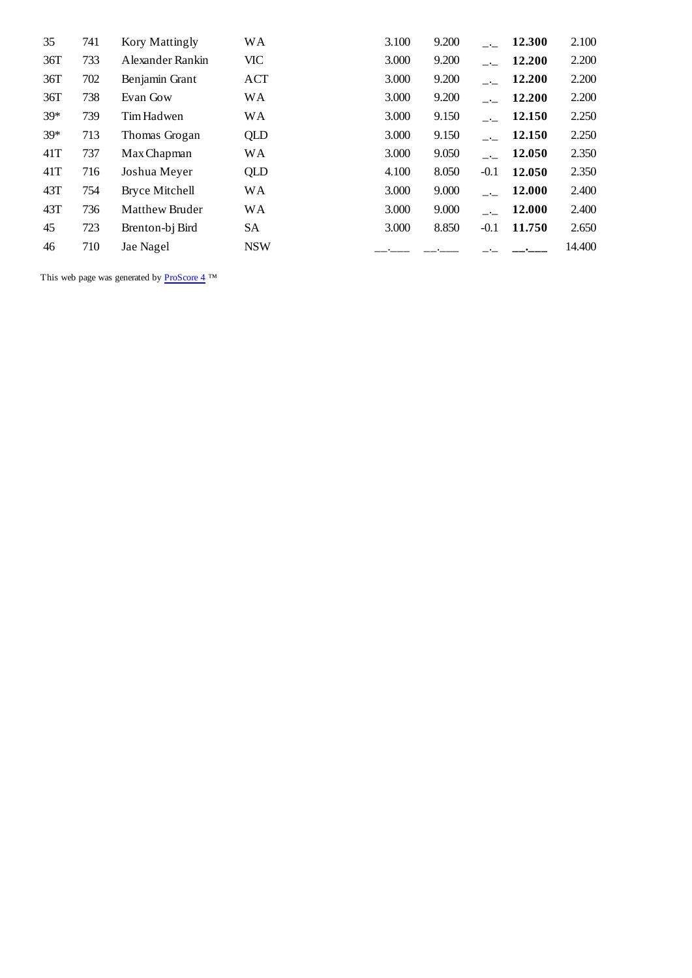| 35    | 741 | Kory Mattingly   | WA         | 3.100 | 9.200 |                 | 12.300 | 2.100  |
|-------|-----|------------------|------------|-------|-------|-----------------|--------|--------|
| 36T   | 733 | Alexander Rankin | VIC        | 3.000 | 9.200 |                 | 12.200 | 2.200  |
| 36T   | 702 | Benjamin Grant   | ACT        | 3.000 | 9.200 |                 | 12.200 | 2.200  |
| 36T   | 738 | Evan Gow         | <b>WA</b>  | 3.000 | 9.200 |                 | 12.200 | 2.200  |
| $39*$ | 739 | Tim Hadwen       | <b>WA</b>  | 3.000 | 9.150 | $\sim 10^{-11}$ | 12.150 | 2.250  |
| $39*$ | 713 | Thomas Grogan    | QLD        | 3.000 | 9.150 |                 | 12.150 | 2.250  |
| 41T   | 737 | Max Chapman      | <b>WA</b>  | 3.000 | 9.050 |                 | 12.050 | 2.350  |
| 41T   | 716 | Joshua Meyer     | QLD        | 4.100 | 8.050 | $-0.1$          | 12.050 | 2.350  |
| 43T   | 754 | Bryce Mitchell   | <b>WA</b>  | 3.000 | 9.000 |                 | 12.000 | 2.400  |
| 43T   | 736 | Matthew Bruder   | <b>WA</b>  | 3.000 | 9.000 |                 | 12.000 | 2.400  |
| 45    | 723 | Brenton-bj Bird  | SА         | 3.000 | 8.850 | $-0.1$          | 11.750 | 2.650  |
| 46    | 710 | Jae Nagel        | <b>NSW</b> |       |       |                 |        | 14.400 |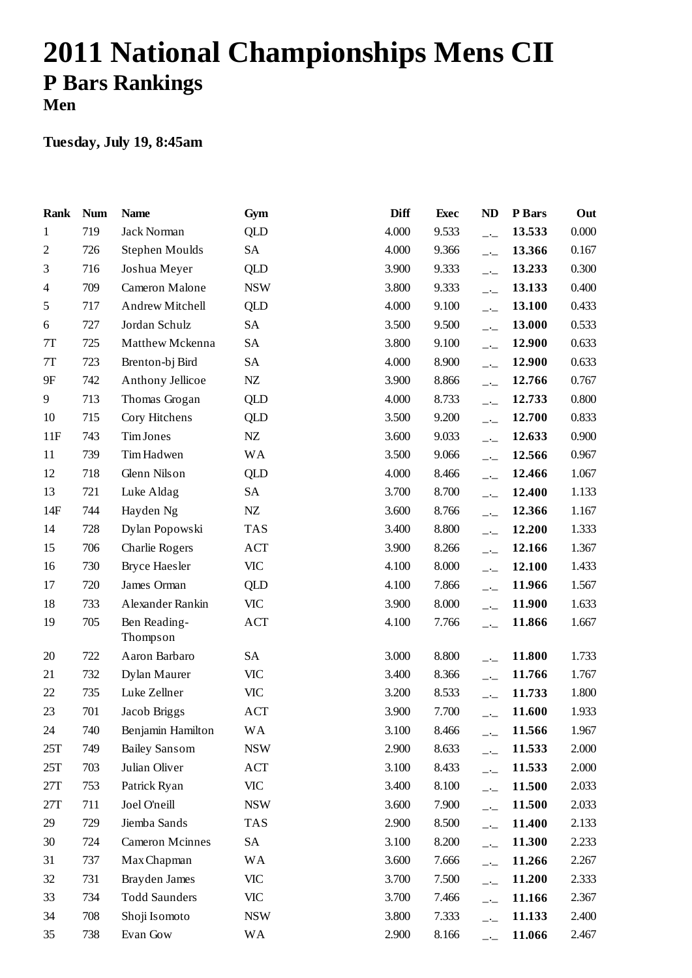# **2011 National Championships Mens CII P Bars Rankings Men**

| Rank                     | <b>Num</b> | <b>Name</b>            | Gym                         | Diff  | <b>Exec</b> | <b>ND</b>                | P Bars | Out   |
|--------------------------|------------|------------------------|-----------------------------|-------|-------------|--------------------------|--------|-------|
| $\mathbf{1}$             | 719        | Jack Norman            | <b>QLD</b>                  | 4.000 | 9.533       | $-1$                     | 13.533 | 0.000 |
| $\mathfrak{2}$           | 726        | Stephen Moulds         | SA                          | 4.000 | 9.366       | $-1$                     | 13.366 | 0.167 |
| 3                        | 716        | Joshua Meyer           | <b>QLD</b>                  | 3.900 | 9.333       | $\overline{\phantom{a}}$ | 13.233 | 0.300 |
| $\overline{\mathcal{A}}$ | 709        | Cameron Malone         | <b>NSW</b>                  | 3.800 | 9.333       | $-1$                     | 13.133 | 0.400 |
| 5                        | 717        | Andrew Mitchell        | QLD                         | 4.000 | 9.100       | $-1$                     | 13.100 | 0.433 |
| 6                        | 727        | Jordan Schulz          | SA                          | 3.500 | 9.500       | $\overline{\phantom{a}}$ | 13.000 | 0.533 |
| $7\mathrm{T}$            | 725        | Matthew Mckenna        | SA                          | 3.800 | 9.100       | $-1$                     | 12.900 | 0.633 |
| $7\mathrm{T}$            | 723        | Brenton-bj Bird        | <b>SA</b>                   | 4.000 | 8.900       | $-1$                     | 12.900 | 0.633 |
| 9F                       | 742        | Anthony Jellicoe       | NZ                          | 3.900 | 8.866       | $\overline{\phantom{a}}$ | 12.766 | 0.767 |
| 9                        | 713        | Thomas Grogan          | <b>QLD</b>                  | 4.000 | 8.733       | $-1$                     | 12.733 | 0.800 |
| 10                       | 715        | Cory Hitchens          | QLD                         | 3.500 | 9.200       | $-1$                     | 12.700 | 0.833 |
| 11F                      | 743        | Tim Jones              | NZ                          | 3.600 | 9.033       | $-1$                     | 12.633 | 0.900 |
| 11                       | 739        | Tim Hadwen             | <b>WA</b>                   | 3.500 | 9.066       | $-1$                     | 12.566 | 0.967 |
| 12                       | 718        | Glenn Nilson           | QLD                         | 4.000 | 8.466       | $-1$                     | 12.466 | 1.067 |
| 13                       | 721        | Luke Aldag             | SA                          | 3.700 | 8.700       | $\overline{\phantom{a}}$ | 12.400 | 1.133 |
| 14F                      | 744        | Hayden Ng              | $N\!Z$                      | 3.600 | 8.766       | $-1$                     | 12.366 | 1.167 |
| 14                       | 728        | Dylan Popowski         | <b>TAS</b>                  | 3.400 | 8.800       | $-1$                     | 12.200 | 1.333 |
| 15                       | 706        | Charlie Rogers         | ACT                         | 3.900 | 8.266       | $-1$                     | 12.166 | 1.367 |
| 16                       | 730        | <b>Bryce Haesler</b>   | VIC                         | 4.100 | 8.000       | $-1$                     | 12.100 | 1.433 |
| 17                       | 720        | James Orman            | QLD                         | 4.100 | 7.866       | $-$                      | 11.966 | 1.567 |
| 18                       | 733        | Alexander Rankin       | <b>VIC</b>                  | 3.900 | 8.000       | $\overline{\phantom{a}}$ | 11.900 | 1.633 |
| 19                       | 705        | Ben Reading-           | <b>ACT</b>                  | 4.100 | 7.766       | $\overline{\phantom{a}}$ | 11.866 | 1.667 |
|                          |            | Thompson               |                             |       |             |                          |        |       |
| 20                       | 722        | Aaron Barbaro          | SA                          | 3.000 | 8.800       | $-$                      | 11.800 | 1.733 |
| 21                       | 732        | Dylan Maurer           | <b>VIC</b>                  | 3.400 | 8.366       | $\overline{\phantom{a}}$ | 11.766 | 1.767 |
| 22                       | 735        | Luke Zellner           | <b>VIC</b>                  | 3.200 | 8.533       | $-$                      | 11.733 | 1.800 |
| 23                       | 701        | Jacob Briggs           | $\mathop{\rm ACT}\nolimits$ | 3.900 | 7.700       | $-1$                     | 11.600 | 1.933 |
| $24\,$                   | 740        | Benjamin Hamilton      | <b>WA</b>                   | 3.100 | 8.466       | $\overline{\phantom{a}}$ | 11.566 | 1.967 |
| 25T                      | 749        | <b>Bailey Sansom</b>   | <b>NSW</b>                  | 2.900 | 8.633       | $-$ - $-$                | 11.533 | 2.000 |
| 25T                      | 703        | Julian Oliver          | ACT                         | 3.100 | 8.433       | $-1$                     | 11.533 | 2.000 |
| 27T                      | 753        | Patrick Ryan           | VIC                         | 3.400 | 8.100       | $-1$                     | 11.500 | 2.033 |
| 27T                      | 711        | Joel O'neill           | <b>NSW</b>                  | 3.600 | 7.900       | $-$                      | 11.500 | 2.033 |
| 29                       | 729        | Jiemba Sands           | <b>TAS</b>                  | 2.900 | 8.500       | $-1$                     | 11.400 | 2.133 |
| 30                       | 724        | <b>Cameron Mcinnes</b> | SA                          | 3.100 | 8.200       | $\overline{\phantom{a}}$ | 11.300 | 2.233 |
| 31                       | 737        | Max Chapman            | WA                          | 3.600 | 7.666       | $ -$                     | 11.266 | 2.267 |
| 32                       | 731        | Brayden James          | <b>VIC</b>                  | 3.700 | 7.500       | $-1$                     | 11.200 | 2.333 |
| 33                       | 734        | <b>Todd Saunders</b>   | VIC                         | 3.700 | 7.466       | $-$ -                    | 11.166 | 2.367 |
| 34                       | 708        | Shoji Isomoto          | <b>NSW</b>                  | 3.800 | 7.333       | $-$                      | 11.133 | 2.400 |
| 35                       | 738        | Evan Gow               | <b>WA</b>                   | 2.900 | 8.166       | $-1$                     | 11.066 | 2.467 |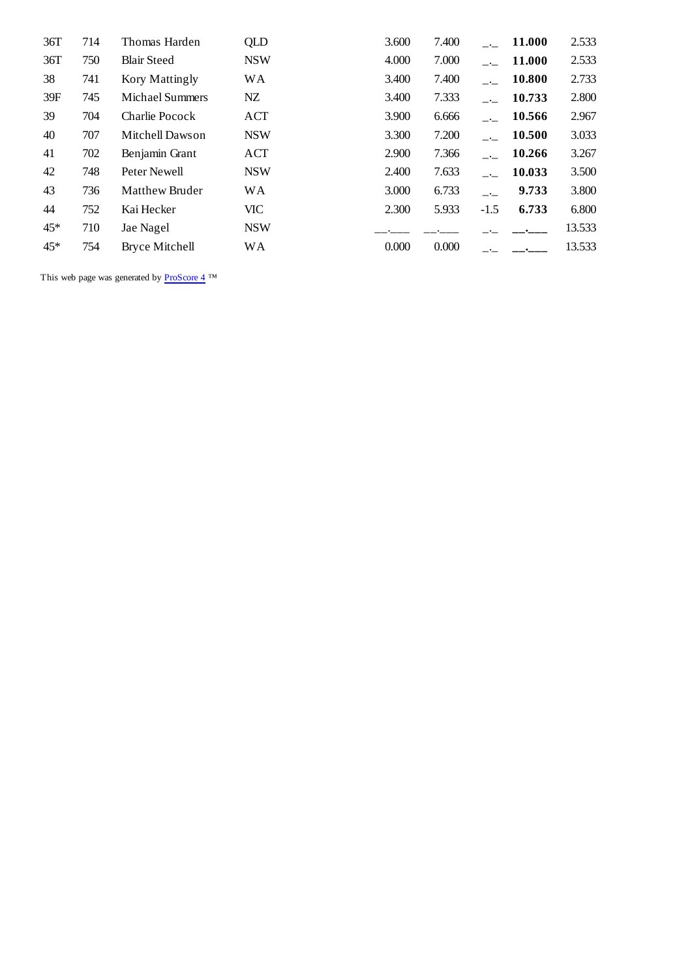| 36T   | 714 | Thomas Harden         | QLD        | 3.600 | 7.400 |                | 11.000 | 2.533  |
|-------|-----|-----------------------|------------|-------|-------|----------------|--------|--------|
| 36T   | 750 | <b>Blair Steed</b>    | <b>NSW</b> | 4.000 | 7.000 |                | 11.000 | 2.533  |
| 38    | 741 | Kory Mattingly        | WА         | 3.400 | 7.400 |                | 10.800 | 2.733  |
| 39F   | 745 | Michael Summers       | NZ         | 3.400 | 7.333 |                | 10.733 | 2.800  |
| 39    | 704 | Charlie Pocock        | ACT        | 3.900 | 6.666 |                | 10.566 | 2.967  |
| 40    | 707 | Mitchell Dawson       | <b>NSW</b> | 3.300 | 7.200 |                | 10.500 | 3.033  |
| 41    | 702 | Benjamin Grant        | ACT        | 2.900 | 7.366 |                | 10.266 | 3.267  |
| 42    | 748 | Peter Newell          | <b>NSW</b> | 2.400 | 7.633 | $\sim 10^{-1}$ | 10.033 | 3.500  |
| 43    | 736 | Matthew Bruder        | <b>WA</b>  | 3.000 | 6.733 | $\sim$ $\sim$  | 9.733  | 3.800  |
| 44    | 752 | Kai Hecker            | <b>VIC</b> | 2.300 | 5.933 | $-1.5$         | 6.733  | 6.800  |
| $45*$ | 710 | Jae Nagel             | <b>NSW</b> |       |       |                |        | 13.533 |
| $45*$ | 754 | <b>Bryce Mitchell</b> | WА         | 0.000 | 0.000 |                |        | 13.533 |
|       |     |                       |            |       |       |                |        |        |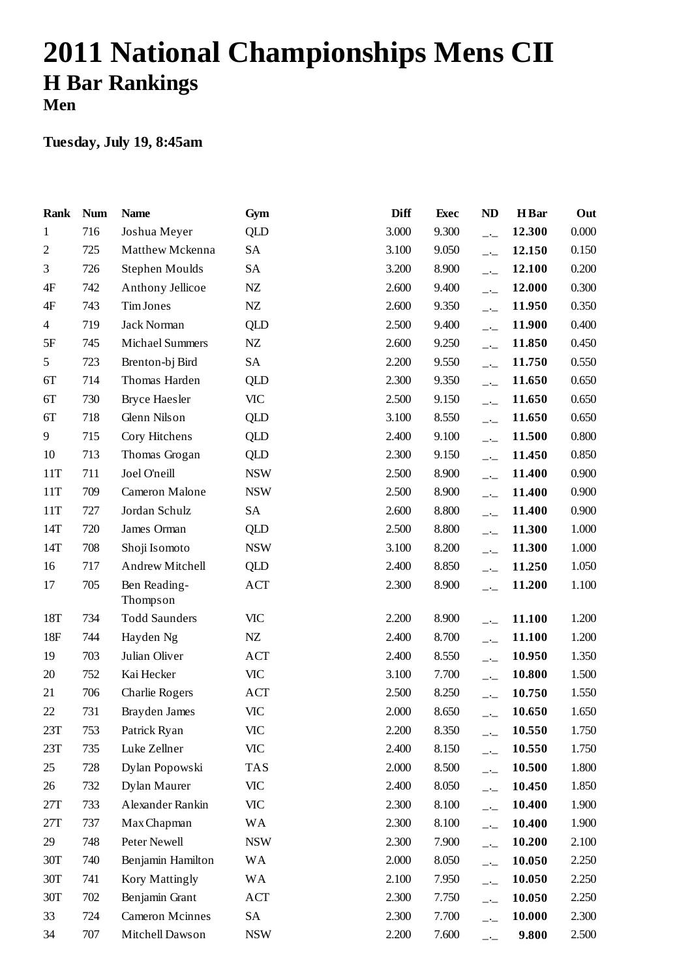# **2011 National Championships Mens CII H Bar Rankings Men**

| Rank           | <b>Num</b> | <b>Name</b>              | Gym        | Diff  | <b>Exec</b> | <b>ND</b>                | <b>H</b> Bar | Out   |
|----------------|------------|--------------------------|------------|-------|-------------|--------------------------|--------------|-------|
| $\mathbf{1}$   | 716        | Joshua Meyer             | QLD        | 3.000 | 9.300       | $-$                      | 12.300       | 0.000 |
| $\mathfrak{2}$ | 725        | Matthew Mckenna          | <b>SA</b>  | 3.100 | 9.050       | $-$                      | 12.150       | 0.150 |
| 3              | 726        | Stephen Moulds           | <b>SA</b>  | 3.200 | 8.900       | $\overline{\phantom{a}}$ | 12.100       | 0.200 |
| 4F             | 742        | Anthony Jellicoe         | ${\rm NZ}$ | 2.600 | 9.400       | $-1$                     | 12.000       | 0.300 |
| 4F             | 743        | Tim Jones                | $\rm{NZ}$  | 2.600 | 9.350       | $-$                      | 11.950       | 0.350 |
| 4              | 719        | Jack Norman              | QLD        | 2.500 | 9.400       | $-1$                     | 11.900       | 0.400 |
| $5\mathrm{F}$  | 745        | <b>Michael Summers</b>   | ${\rm NZ}$ | 2.600 | 9.250       | $-$                      | 11.850       | 0.450 |
| 5              | 723        | Brenton-bj Bird          | SA         | 2.200 | 9.550       | $-1$                     | 11.750       | 0.550 |
| 6T             | 714        | Thomas Harden            | <b>QLD</b> | 2.300 | 9.350       | $-1$                     | 11.650       | 0.650 |
| 6T             | 730        | <b>Bryce Haesler</b>     | <b>VIC</b> | 2.500 | 9.150       | $-1$                     | 11.650       | 0.650 |
| 6T             | 718        | Glenn Nilson             | <b>QLD</b> | 3.100 | 8.550       | $-$ –                    | 11.650       | 0.650 |
| 9              | 715        | Cory Hitchens            | QLD        | 2.400 | 9.100       | $\overline{\phantom{a}}$ | 11.500       | 0.800 |
| 10             | 713        | Thomas Grogan            | QLD        | 2.300 | 9.150       | $-1$                     | 11.450       | 0.850 |
| 11T            | 711        | Joel O'neill             | <b>NSW</b> | 2.500 | 8.900       | $-1$                     | 11.400       | 0.900 |
| 11T            | 709        | Cameron Malone           | <b>NSW</b> | 2.500 | 8.900       | $-1$                     | 11.400       | 0.900 |
| 11T            | 727        | Jordan Schulz            | <b>SA</b>  | 2.600 | 8.800       | $\overline{\phantom{a}}$ | 11.400       | 0.900 |
| 14T            | 720        | James Orman              | QLD        | 2.500 | 8.800       | $-$                      | 11.300       | 1.000 |
| 14T            | 708        | Shoji Isomoto            | <b>NSW</b> | 3.100 | 8.200       | $-1$                     | 11.300       | 1.000 |
| 16             | 717        | Andrew Mitchell          | QLD        | 2.400 | 8.850       | $-1$                     | 11.250       | 1.050 |
| 17             | 705        | Ben Reading-<br>Thompson | <b>ACT</b> | 2.300 | 8.900       | $\overline{a}$           | 11.200       | 1.100 |
| 18T            | 734        | <b>Todd Saunders</b>     | <b>VIC</b> | 2.200 | 8.900       | $ -$                     | 11.100       | 1.200 |
| 18F            | 744        | Hayden Ng                | NZ         | 2.400 | 8.700       | $\overline{\phantom{a}}$ | 11.100       | 1.200 |
| 19             | 703        | Julian Oliver            | <b>ACT</b> | 2.400 | 8.550       | $-$                      | 10.950       | 1.350 |
| 20             | 752        | Kai Hecker               | <b>VIC</b> | 3.100 | 7.700       | $-$                      | 10.800       | 1.500 |
| 21             | 706        | Charlie Rogers           | <b>ACT</b> | 2.500 | 8.250       | $-$                      | 10.750       | 1.550 |
| 22             | 731        | Brayden James            | <b>VIC</b> | 2.000 | 8.650       | $\overline{\phantom{a}}$ | 10.650       | 1.650 |
| 23T            | 753        | Patrick Ryan             | <b>VIC</b> | 2.200 | 8.350       | $-1$                     | 10.550       | 1.750 |
| 23T            | 735        | Luke Zellner             | <b>VIC</b> | 2.400 | 8.150       | $-$                      | 10.550       | 1.750 |
| 25             | 728        | Dylan Popowski           | <b>TAS</b> | 2.000 | 8.500       | $ -$                     | 10.500       | 1.800 |
| 26             | 732        | Dylan Maurer             | <b>VIC</b> | 2.400 | 8.050       | $-1$                     | 10.450       | 1.850 |
| 27T            | 733        | Alexander Rankin         | <b>VIC</b> | 2.300 | 8.100       | $\overline{\phantom{a}}$ | 10.400       | 1.900 |
| 27T            | 737        | Max Chapman              | <b>WA</b>  | 2.300 | 8.100       | $ -$                     | 10.400       | 1.900 |
| 29             | 748        | Peter Newell             | <b>NSW</b> | 2.300 | 7.900       | $-$                      | 10.200       | 2.100 |
| 30T            | 740        | Benjamin Hamilton        | <b>WA</b>  | 2.000 | 8.050       | $-1$                     | 10.050       | 2.250 |
| 30T            | 741        | Kory Mattingly           | <b>WA</b>  | 2.100 | 7.950       | $ -$                     | 10.050       | 2.250 |
| 30T            | 702        | Benjamin Grant           | ACT        | 2.300 | 7.750       | $-1$                     | 10.050       | 2.250 |
| 33             | 724        | <b>Cameron Mcinnes</b>   | SA         | 2.300 | 7.700       | $-$ -                    | 10.000       | 2.300 |
| 34             | 707        | Mitchell Dawson          | <b>NSW</b> | 2.200 | 7.600       | $-$                      | 9.800        | 2.500 |